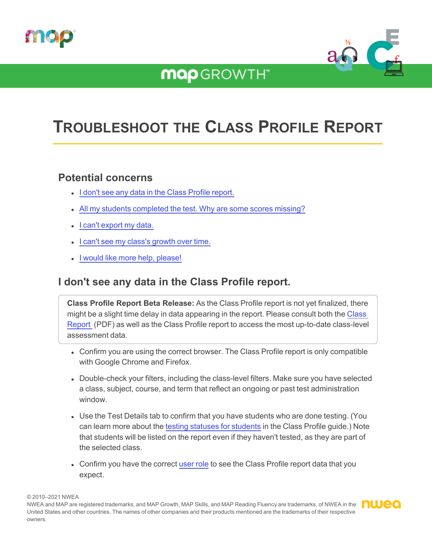

## **MQP**GROWTH<sup>\*</sup>



# **TROUBLESHOOT THE CLASS PROFILE REPORT**

### **Potential concerns**

- I don't see any data in the Class Profile [report.](#page-0-0)
- All my students [completed](#page-1-0) the test. Why are some scores missing?
- I can't [export](#page-1-1) my data.
- I can't see my class's [growth](#page-1-2) over time.
- <span id="page-0-0"></span>• I would like more help, [please!](#page-1-3)

## **I don't see any data in the Class Profile report.**

**Class Profile Report Beta Release:** As the Class Profile report is not yet finalized, there might be a slight time delay in data appearing in the report. Please consult both the [Class](../../../../../Content/Data/SampleReports/ClassReport.htm) [Report](../../../../../Content/Data/SampleReports/ClassReport.htm) (PDF) as well as the Class Profile report to access the most up-to-date class-level assessment data.

- Confirm you are using the correct browser. The Class Profile report is only compatible with Google Chrome and Firefox.
- Double-check your filters, including the class-level filters. Make sure you have selected a class, subject, course, and term that reflect an ongoing or past test administration window.
- Use the Test Details tab to confirm that you have students who are done testing. (You can learn more about the testing statuses for [students](ClassProfileGuide.htm#Test2) in the Class Profile guide.) Note that students will be listed on the report even if they haven't tested, as they are part of the selected class.
- Confirm you have the correct [user](ClassProfileGuide.htm#User) role to see the Class Profile report data that you expect.

© 2010–2021 NWEA

NWEA and MAP are registered trademarks, and MAP Growth, MAP Skills, and MAP Reading Fluency are trademarks, of NWEA in the **number** United States and other countries. The names of other companies and their products mentioned are the trademarks of their respective owners.